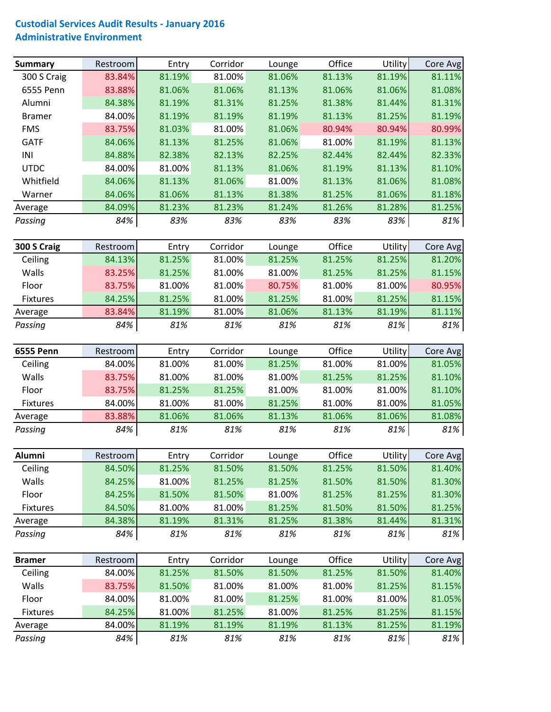## **Custodial Services Audit Results ‐ January 2016 Administrative Environment**

| Summary       | Restroom | Entry  | Corridor | Lounge | Office | <b>Utility</b> | Core Avg |
|---------------|----------|--------|----------|--------|--------|----------------|----------|
| 300 S Craig   | 83.84%   | 81.19% | 81.00%   | 81.06% | 81.13% | 81.19%         | 81.11%   |
| 6555 Penn     | 83.88%   | 81.06% | 81.06%   | 81.13% | 81.06% | 81.06%         | 81.08%   |
| Alumni        | 84.38%   | 81.19% | 81.31%   | 81.25% | 81.38% | 81.44%         | 81.31%   |
| <b>Bramer</b> | 84.00%   | 81.19% | 81.19%   | 81.19% | 81.13% | 81.25%         | 81.19%   |
| <b>FMS</b>    | 83.75%   | 81.03% | 81.00%   | 81.06% | 80.94% | 80.94%         | 80.99%   |
| <b>GATF</b>   | 84.06%   | 81.13% | 81.25%   | 81.06% | 81.00% | 81.19%         | 81.13%   |
| INI           | 84.88%   | 82.38% | 82.13%   | 82.25% | 82.44% | 82.44%         | 82.33%   |
| <b>UTDC</b>   | 84.00%   | 81.00% | 81.13%   | 81.06% | 81.19% | 81.13%         | 81.10%   |
| Whitfield     | 84.06%   | 81.13% | 81.06%   | 81.00% | 81.13% | 81.06%         | 81.08%   |
| Warner        | 84.06%   | 81.06% | 81.13%   | 81.38% | 81.25% | 81.06%         | 81.18%   |
| Average       | 84.09%   | 81.23% | 81.23%   | 81.24% | 81.26% | 81.28%         | 81.25%   |
| Passing       | 84%      | 83%    | 83%      | 83%    | 83%    | 83%            | 81%      |
|               |          |        |          |        |        |                |          |

| 300 S Craig     | Restroom | Entry  | Corridor | Lounge | Office | <b>Utility</b> | Core Avg |
|-----------------|----------|--------|----------|--------|--------|----------------|----------|
| Ceiling         | 84.13%   | 81.25% | 81.00%   | 81.25% | 81.25% | 81.25%         | 81.20%   |
| Walls           | 83.25%   | 81.25% | 81.00%   | 81.00% | 81.25% | 81.25%         | 81.15%   |
| Floor           | 83.75%   | 81.00% | 81.00%   | 80.75% | 81.00% | 81.00%         | 80.95%   |
| <b>Fixtures</b> | 84.25%   | 81.25% | 81.00%   | 81.25% | 81.00% | 81.25%         | 81.15%   |
| Average         | 83.84%   | 81.19% | 81.00%   | 81.06% | 81.13% | 81.19%         | 81.11%   |
| Passing         | 84%      | 81%    | 81%      | 81%    | 81%    | 81%            | 81%      |

| <b>6555 Penn</b> | Restroom | Entry  | Corridor | Lounge | Office | <b>Utility</b> | Core Avg |
|------------------|----------|--------|----------|--------|--------|----------------|----------|
| Ceiling          | 84.00%   | 81.00% | 81.00%   | 81.25% | 81.00% | 81.00%         | 81.05%   |
| Walls            | 83.75%   | 81.00% | 81.00%   | 81.00% | 81.25% | 81.25%         | 81.10%   |
| Floor            | 83.75%   | 81.25% | 81.25%   | 81.00% | 81.00% | 81.00%         | 81.10%   |
| <b>Fixtures</b>  | 84.00%   | 81.00% | 81.00%   | 81.25% | 81.00% | 81.00%         | 81.05%   |
| Average          | 83.88%   | 81.06% | 81.06%   | 81.13% | 81.06% | 81.06%         | 81.08%   |
| Passing          | 84%      | 81%    | 81%      | 81%    | 81%    | 81%            | 81%      |

| Alumni          | Restroom | Entry  | Corridor | Lounge | Office | <b>Utility</b> | Core Avg |
|-----------------|----------|--------|----------|--------|--------|----------------|----------|
| Ceiling         | 84.50%   | 81.25% | 81.50%   | 81.50% | 81.25% | 81.50%         | 81.40%   |
| Walls           | 84.25%   | 81.00% | 81.25%   | 81.25% | 81.50% | 81.50%         | 81.30%   |
| Floor           | 84.25%   | 81.50% | 81.50%   | 81.00% | 81.25% | 81.25%         | 81.30%   |
| <b>Fixtures</b> | 84.50%   | 81.00% | 81.00%   | 81.25% | 81.50% | 81.50%         | 81.25%   |
| Average         | 84.38%   | 81.19% | 81.31%   | 81.25% | 81.38% | 81.44%         | 81.31%   |
| Passing         | 84%      | 81%    | 81%      | 81%    | 81%    | 81%            | 81%      |

| <b>Bramer</b>   | Restroom | Entry  | Corridor | Lounge | Office | <b>Utility</b> | Core Avg |
|-----------------|----------|--------|----------|--------|--------|----------------|----------|
| Ceiling         | 84.00%   | 81.25% | 81.50%   | 81.50% | 81.25% | 81.50%         | 81.40%   |
| Walls           | 83.75%   | 81.50% | 81.00%   | 81.00% | 81.00% | 81.25%         | 81.15%   |
| Floor           | 84.00%   | 81.00% | 81.00%   | 81.25% | 81.00% | 81.00%         | 81.05%   |
| <b>Fixtures</b> | 84.25%   | 81.00% | 81.25%   | 81.00% | 81.25% | 81.25%         | 81.15%   |
| Average         | 84.00%   | 81.19% | 81.19%   | 81.19% | 81.13% | 81.25%         | 81.19%   |
| Passing         | 84%      | 81%    | 81%      | 81%    | 81%    | 81%            | 81%      |